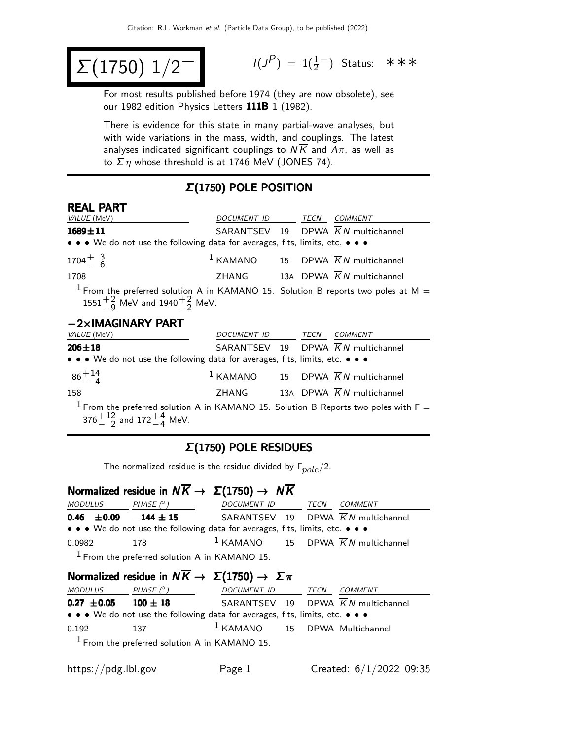$$
\Sigma(1750) 1/2^-
$$

 $(P) = 1(\frac{1}{2})$  Status: ∗∗∗

For most results published before 1974 (they are now obsolete), see our 1982 edition Physics Letters 111B 1 (1982).

There is evidence for this state in many partial-wave analyses, but with wide variations in the mass, width, and couplings. The latest analyses indicated significant couplings to  $N\overline{K}$  and  $\Lambda\pi$ , as well as to  $\Sigma$  η whose threshold is at 1746 MeV (JONES 74).

#### Σ(1750) POLE POSITION

#### REAL PART

| VALUE (MeV)                                                                                                                                    | DOCUMENT ID      | TECN | <b>COMMENT</b>                                           |
|------------------------------------------------------------------------------------------------------------------------------------------------|------------------|------|----------------------------------------------------------|
| $1689 \pm 11$                                                                                                                                  |                  |      | SARANTSEV 19 DPWA $\overline{K}N$ multichannel           |
| • • • We do not use the following data for averages, fits, limits, etc. • • •                                                                  |                  |      |                                                          |
| $1704 + \frac{3}{6}$                                                                                                                           |                  |      | <sup>1</sup> KAMANO 15 DPWA $\overline{K}N$ multichannel |
| 1708                                                                                                                                           |                  |      | ZHANG 13A DPWA $\overline{K}N$ multichannel              |
| <sup>1</sup> From the preferred solution A in KAMANO 15. Solution B reports two poles at M =<br>$1551^{+2}_{-9}$ MeV and $1940^{+2}_{-2}$ MeV. |                  |      |                                                          |
| $-2\times$ IMAGINARY PART                                                                                                                      |                  |      |                                                          |
| VALUE (MeV)                                                                                                                                    | DOCUMENT ID TECN |      | <b>COMMENT</b>                                           |
| $206 \pm 18$                                                                                                                                   |                  |      | SARANTSEV 19 DPWA $\overline{K}N$ multichannel           |
| • • • We do not use the following data for averages, fits, limits, etc. • • •                                                                  |                  |      |                                                          |
| $86^{+14}_{-4}$                                                                                                                                |                  |      | $1$ KAMANO 15 DPWA $\overline{K}N$ multichannel          |
| 158                                                                                                                                            | ZHANG            |      | 13A DPWA $\overline{K}N$ multichannel                    |
| <sup>1</sup> From the preferred solution A in KAMANO 15. Solution B Reports two poles with $\Gamma =$                                          |                  |      |                                                          |

 $376^{+12}_{-2}$  and  $172^{+4}_{-4}$  MeV.

#### Σ(1750) POLE RESIDUES

The normalized residue is the residue divided by  $\Gamma_{pole}/2$ .

# Normalized residue in  $N\overline{K} \rightarrow \Sigma(1750) \rightarrow N\overline{K}$

| <i>MODULUS</i>                | PHASE $(^\circ)$ | DOCUMENT ID                                                                   | TECN | <i>COMMENT</i>                                  |
|-------------------------------|------------------|-------------------------------------------------------------------------------|------|-------------------------------------------------|
| 0.46 $\pm$ 0.09 $-144 \pm 15$ |                  |                                                                               |      | SARANTSEV 19 DPWA $\overline{K}N$ multichannel  |
|                               |                  | • • • We do not use the following data for averages, fits, limits, etc. • • • |      |                                                 |
| 0.0982                        | 178              |                                                                               |      | $1$ KAMANO 15 DPWA $\overline{K}N$ multichannel |
|                               |                  | $1$ From the preferred solution A in KAMANO 15.                               |      |                                                 |

# Normalized residue in  $N \overline{K} \rightarrow \Sigma (1750) \rightarrow \Sigma \pi$

| <i>MODULUS</i>  | PHASE $(^\circ)$                                                              | DOCUMENT ID                       | TECN | COMMENT                           |
|-----------------|-------------------------------------------------------------------------------|-----------------------------------|------|-----------------------------------|
| $0.27 \pm 0.05$ | $100 \pm 18$                                                                  |                                   |      | SARANTSEV 19 DPWA KN multichannel |
|                 | • • • We do not use the following data for averages, fits, limits, etc. • • • |                                   |      |                                   |
| 0.192           | 137                                                                           | $1$ KAMANO $15$ DPWA Multichannel |      |                                   |
|                 | $1$ From the preferred solution A in KAMANO 15.                               |                                   |      |                                   |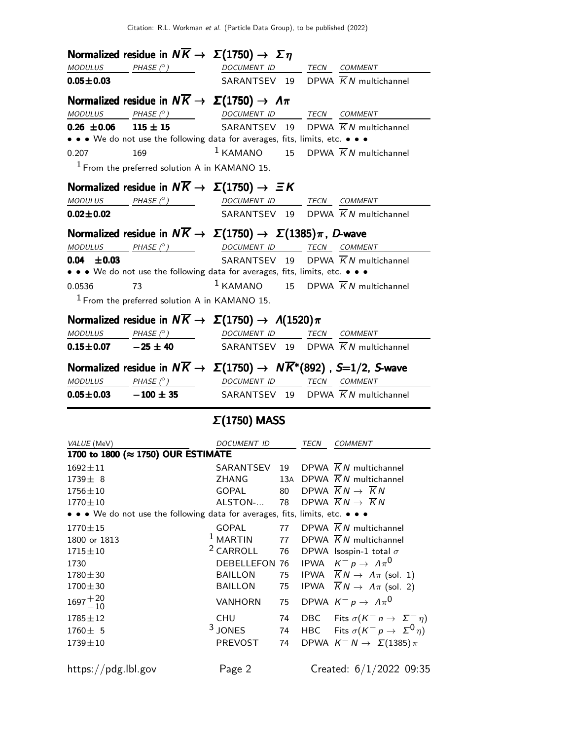|                              | Normalized residue in $N\overline{K} \rightarrow \Sigma(1750) \rightarrow \Sigma \eta$                                                                                |                          |     |     |                                                       |
|------------------------------|-----------------------------------------------------------------------------------------------------------------------------------------------------------------------|--------------------------|-----|-----|-------------------------------------------------------|
|                              | $\textit{MODULUS} \qquad \qquad \textit{PHASE} \text{ }(^{\circ}) \qquad \qquad \textit{DOCUMENT ID} \qquad \qquad \textit{TECN} \quad \textit{COMMENT}$              |                          |     |     |                                                       |
| $0.05 + 0.03$                |                                                                                                                                                                       |                          |     |     | SARANTSEV 19 DPWA $\overline{K}N$ multichannel        |
|                              | Normalized residue in $N\overline{K} \rightarrow \Sigma(1750) \rightarrow \Lambda \pi$                                                                                |                          |     |     |                                                       |
| <b>MODULUS</b>               | PHASE (°) DOCUMENT ID TECN COMMENT                                                                                                                                    |                          |     |     |                                                       |
| $0.26 \pm 0.06$ 115 $\pm$ 15 |                                                                                                                                                                       |                          |     |     | SARANTSEV 19 DPWA $\overline{K}N$ multichannel        |
|                              | • • • We do not use the following data for averages, fits, limits, etc. • • •                                                                                         |                          |     |     |                                                       |
| 0.207                        | 169                                                                                                                                                                   |                          |     |     | $1$ KAMANO 15 DPWA $\overline{K}N$ multichannel       |
|                              | $1$ From the preferred solution A in KAMANO 15.                                                                                                                       |                          |     |     |                                                       |
|                              | Normalized residue in $N\overline{K} \rightarrow \Sigma(1750) \rightarrow \Xi K$                                                                                      |                          |     |     |                                                       |
|                              | $MODULUS$ $PHASE (°)$                                                                                                                                                 | DOCUMENT ID TECN COMMENT |     |     |                                                       |
| $0.02 \pm 0.02$              |                                                                                                                                                                       |                          |     |     | SARANTSEV 19 DPWA $\overline{K}N$ multichannel        |
|                              | Normalized residue in $N\overline{K} \to \Sigma(1750) \to \Sigma(1385)\pi$ , D-wave                                                                                   |                          |     |     |                                                       |
|                              | $\textit{MODULUS} \qquad \qquad \textit{PHASE} \text{ }(^{\circ}) \qquad \qquad \textit{DOCUMENT ID} \qquad \qquad \textit{TECN} \quad \textit{COMMENT}$              |                          |     |     |                                                       |
| $0.04 \pm 0.03$              |                                                                                                                                                                       |                          |     |     | SARANTSEV 19 DPWA $\overline{K}N$ multichannel        |
|                              | • • • We do not use the following data for averages, fits, limits, etc. • • •                                                                                         |                          |     |     |                                                       |
| 0.0536                       | 73                                                                                                                                                                    |                          |     |     | $1$ KAMANO 15 DPWA $\overline{K}N$ multichannel       |
|                              | <sup>1</sup> From the preferred solution A in KAMANO 15.                                                                                                              |                          |     |     |                                                       |
|                              |                                                                                                                                                                       |                          |     |     |                                                       |
|                              | Normalized residue in $N\overline{K} \to \Sigma(1750) \to \Lambda(1520)\pi$                                                                                           |                          |     |     |                                                       |
|                              | $\begin{array}{ccccccccc}\textit{MODULUS} & \textit{PHASE}&\textit{?}) & \textit{DOCUMENT} & \textit{ID} & \textit{TECN} & \textit{COMMENT} & \textit{.} \end{array}$ |                          |     |     |                                                       |
| $0.15 \pm 0.07$ $-25 \pm 40$ |                                                                                                                                                                       |                          |     |     | SARANTSEV 19 DPWA $\overline{K}N$ multichannel        |
|                              | Normalized residue in $N\overline{K} \to \Sigma(1750) \to N\overline{K}^*(892)$ , S=1/2, S-wave                                                                       |                          |     |     |                                                       |
|                              | $\begin{array}{ccc}\textit{MODULUS} & \quad \textit{PHASE (}^{\circ}\textit{)} & \quad \textit{DOCUMENT ID} & \quad \textit{TECN} \quad \textit{COMMENT} \end{array}$ |                          |     |     |                                                       |
|                              | $0.05 \pm 0.03$ $-100 \pm 35$                                                                                                                                         |                          |     |     | SARANTSEV 19 DPWA $\overline{K}N$ multichannel        |
|                              |                                                                                                                                                                       | $\Sigma(1750)$ MASS      |     |     |                                                       |
| VALUE (MeV)                  |                                                                                                                                                                       | DOCUMENT ID TECN COMMENT |     |     |                                                       |
|                              | 1700 to 1800 (≈ 1750) OUR ESTIMATE                                                                                                                                    |                          |     |     |                                                       |
| $1692 \pm 11$                |                                                                                                                                                                       | SARANTSEV                | 19  |     | DPWA $\overline{K}N$ multichannel                     |
| $1739 \pm 8$                 |                                                                                                                                                                       | ZHANG                    | 13A |     | DPWA $\overline{K}N$ multichannel                     |
| $1756 \pm 10$                |                                                                                                                                                                       | GOPAL                    | 80  |     | DPWA $\overline{K}N \rightarrow \overline{K}N$        |
| $1770 \pm 10$                |                                                                                                                                                                       | ALSTON-                  | 78  |     | DPWA $\overline{K}N \rightarrow \overline{K}N$        |
|                              | • We do not use the following data for averages, fits, limits, etc. • • •                                                                                             |                          |     |     |                                                       |
| $1770 \pm 15$                |                                                                                                                                                                       | GOPAL                    | 77  |     | DPWA $\overline{K}N$ multichannel                     |
| 1800 or 1813                 |                                                                                                                                                                       | $1$ MARTIN               | 77  |     | DPWA $\overline{K}N$ multichannel                     |
| $1715 \pm 10$                |                                                                                                                                                                       | <sup>2</sup> CARROLL     | 76  |     | DPWA Isospin-1 total $\sigma$                         |
| 1730                         |                                                                                                                                                                       | <b>DEBELLEFON 76</b>     |     |     | IPWA $K^- p \to \Lambda \pi^0$                        |
| $1780 + 30$                  |                                                                                                                                                                       | <b>BAILLON</b>           | 75  |     | IPWA $\overline{K}N \rightarrow \Lambda \pi$ (sol. 1) |
| $1700 \pm 30$                |                                                                                                                                                                       | <b>BAILLON</b>           | 75  |     | IPWA $\overline{K}N \rightarrow \Lambda \pi$ (sol. 2) |
| $1697 + 20 \over -10$        |                                                                                                                                                                       | <b>VANHORN</b>           | 75  |     | DPWA $K^- p \rightarrow \Lambda \pi^0$                |
| $1785 \pm 12$                |                                                                                                                                                                       | <b>CHU</b>               | 74  | DBC | Fits $\sigma(K^{-} n \to \Sigma^{-} n)$               |
| $1760 \pm 5$                 |                                                                                                                                                                       | $3$ JONES                | 74  | HBC | Fits $\sigma(K^- p \to \Sigma^0 \eta)$                |
| $1739 \pm 10$                |                                                                                                                                                                       | PREVOST                  | 74  |     | DPWA $K^- N \rightarrow \Sigma(1385) \pi$             |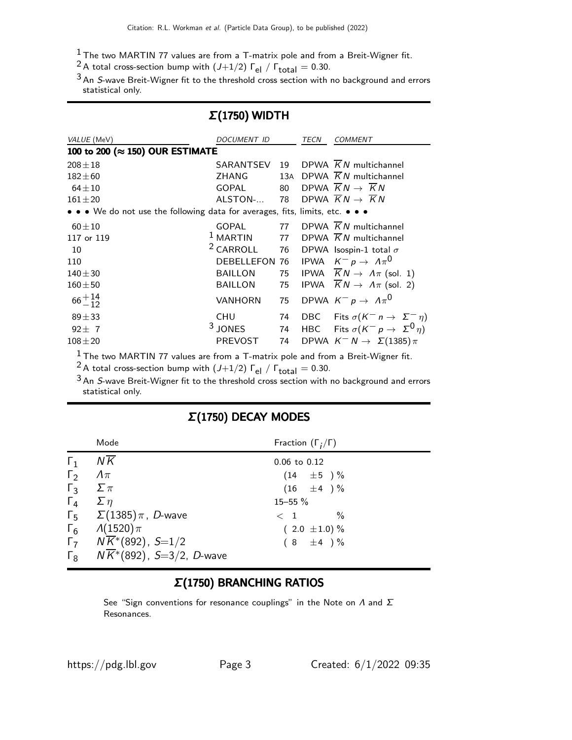- $1$  The two MARTIN 77 values are from a T-matrix pole and from a Breit-Wigner fit.
- <sup>2</sup> A total cross-section bump with  $(J+1/2)$   $\Gamma_{el}$  /  $\Gamma_{total}$  = 0.30.

<sup>3</sup> An S-wave Breit-Wigner fit to the threshold cross section with no background and errors statistical only.

### Σ(1750) WIDTH

| VALUE (MeV)                                                                   | <b>DOCUMENT ID</b>   |     | TECN | COMMENT                                               |
|-------------------------------------------------------------------------------|----------------------|-----|------|-------------------------------------------------------|
| 100 to 200 (≈ 150) OUR ESTIMATE                                               |                      |     |      |                                                       |
| $208 + 18$                                                                    | SARANTSEV            | 19  |      | DPWA $\overline{K}N$ multichannel                     |
| $182 + 60$                                                                    | ZHANG                | 13A |      | DPWA $KN$ multichannel                                |
| $64 + 10$                                                                     | <b>GOPAL</b>         | 80  |      | DPWA $\overline{K}N \rightarrow \overline{K}N$        |
| $161 + 20$                                                                    | ALSTON-              | 78  |      | DPWA $\overline{K}N \rightarrow \overline{K}N$        |
| • • • We do not use the following data for averages, fits, limits, etc. • • • |                      |     |      |                                                       |
| $60 + 10$                                                                     | <b>GOPAL</b>         | 77  |      | DPWA $\overline{K}N$ multichannel                     |
| 117 or 119                                                                    | $1$ MARTIN           | 77  |      | DPWA $\overline{K}N$ multichannel                     |
| 10                                                                            | <sup>2</sup> CARROLL | 76  |      | DPWA Isospin-1 total $\sigma$                         |
| 110                                                                           | <b>DEBELLEFON</b>    | 76  |      | IPWA $K^- p \rightarrow \Lambda \pi^0$                |
| $140 + 30$                                                                    | <b>BAILLON</b>       | 75  |      | IPWA $\overline{K}N \rightarrow \Lambda \pi$ (sol. 1) |
| $160 + 50$                                                                    | <b>BAILLON</b>       | 75  |      | IPWA $\overline{K}N \rightarrow \Lambda \pi$ (sol. 2) |
| $66 + \frac{14}{12}$                                                          | <b>VANHORN</b>       | 75  |      | DPWA $K^- p \rightarrow \Lambda \pi^0$                |
| $89 + 33$                                                                     | <b>CHU</b>           | 74  |      | DBC Fits $\sigma(K^{-} n \to \Sigma^{-} n)$           |
| $92 \pm 7$                                                                    | $3$ JONES            | 74  |      | HBC Fits $\sigma(K^- p \to \Sigma^0 \eta)$            |
| $108 + 20$                                                                    | <b>PREVOST</b>       | 74  |      | DPWA $K^- N \rightarrow \Sigma(1385)\pi$              |
|                                                                               |                      |     |      |                                                       |

 $1$  The two MARTIN 77 values are from a T-matrix pole and from a Breit-Wigner fit.

<sup>2</sup> A total cross-section bump with  $(J+1/2)$   $\Gamma_{el}$  /  $\Gamma_{total}$  = 0.30.

<sup>3</sup> An S-wave Breit-Wigner fit to the threshold cross section with no background and errors statistical only.

| Mode                                                                                                                                                                                                                                                                                                                       | Fraction $(\Gamma_i/\Gamma)$                                                                                                    |
|----------------------------------------------------------------------------------------------------------------------------------------------------------------------------------------------------------------------------------------------------------------------------------------------------------------------------|---------------------------------------------------------------------------------------------------------------------------------|
| $N\overline{K}$<br>$\Gamma_1$<br>$\Gamma_2$<br>$\Lambda\pi$<br>$\Gamma_3$<br>$\Sigma \pi$<br>$\Gamma_4$<br>$\sum \eta$<br>$\Gamma_5$ $\Sigma(1385)\pi$ , <i>D</i> -wave<br>$\Gamma_6 \qquad \Lambda(1520)\pi$<br>$\Gamma_7$ $N\overline{K}$ <sup>*</sup> (892), S=1/2<br>$\Gamma_8$ $N\overline{K}^*(892)$ , S=3/2, D-wave | $0.06$ to $0.12$<br>$(14 \pm 5) \%$<br>$(16 \pm 4) \%$<br>15-55 %<br>$\%$<br>$\langle 1$<br>$(2.0 \pm 1.0)\%$<br>$(8 \pm 4) \%$ |

#### Σ(1750) DECAY MODES

# Σ(1750) BRANCHING RATIOS

See "Sign conventions for resonance couplings" in the Note on  $\Lambda$  and  $\Sigma$ Resonances.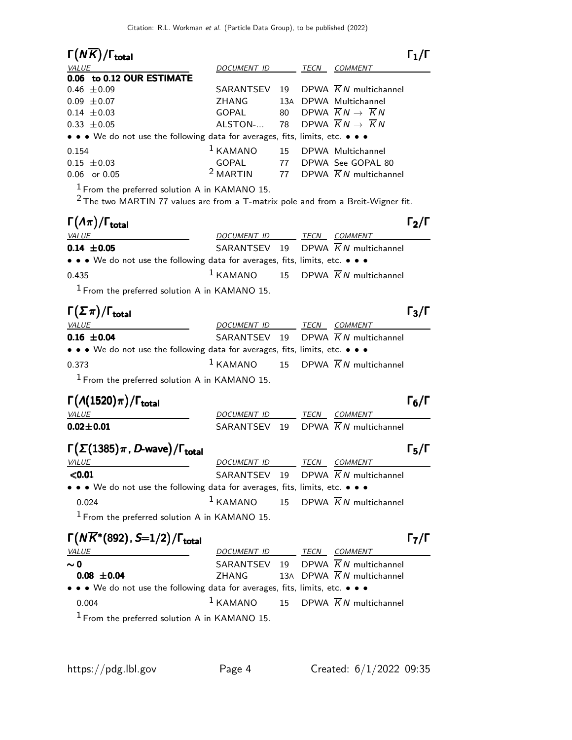| $\Gamma(N\overline{K})/\Gamma_{\rm total}$                                                                                            |                          |    |                                                   | $\mathsf{\Gamma}_1/\mathsf{\Gamma}$ |
|---------------------------------------------------------------------------------------------------------------------------------------|--------------------------|----|---------------------------------------------------|-------------------------------------|
| <i>VALUE</i>                                                                                                                          | DOCUMENT ID              |    | TECN COMMENT                                      |                                     |
| 0.06 to 0.12 OUR ESTIMATE                                                                                                             |                          |    |                                                   |                                     |
| $0.46 \pm 0.09$                                                                                                                       | SARANTSEV                | 19 | DPWA $\overline{K}N$ multichannel                 |                                     |
| $0.09 \pm 0.07$                                                                                                                       | <b>ZHANG</b>             |    | 13A DPWA Multichannel                             |                                     |
| $0.14 \pm 0.03$                                                                                                                       | GOPAL                    |    | 80 DPWA $\overline{K}N \rightarrow \overline{K}N$ |                                     |
| $0.33 \pm 0.05$                                                                                                                       | ALSTON-                  | 78 | DPWA $\overline{K}N\rightarrow \overline{K}N$     |                                     |
| • • • We do not use the following data for averages, fits, limits, etc. • • •                                                         |                          |    |                                                   |                                     |
| 0.154                                                                                                                                 | $1$ KAMANO               | 15 | DPWA Multichannel                                 |                                     |
| $0.15 \pm 0.03$                                                                                                                       | GOPAL                    |    | 77 DPWA See GOPAL 80                              |                                     |
| 0.06 or 0.05                                                                                                                          | <sup>2</sup> MARTIN      |    | 77 DPWA $\overline{K}N$ multichannel              |                                     |
| $1$ From the preferred solution A in KAMANO 15.<br>$2$ The two MARTIN 77 values are from a T-matrix pole and from a Breit-Wigner fit. |                          |    |                                                   |                                     |
| $\Gamma(\Lambda \pi)/\Gamma_{\rm total}$                                                                                              |                          |    |                                                   | $\Gamma_2/\Gamma$                   |
| VALUE                                                                                                                                 | DOCUMENT ID TECN COMMENT |    |                                                   |                                     |
| $0.14 \pm 0.05$                                                                                                                       | SARANTSEV 19             |    | DPWA $\overline{K}N$ multichannel                 |                                     |
| • • • We do not use the following data for averages, fits, limits, etc. • • •                                                         |                          |    |                                                   |                                     |
| 0.435                                                                                                                                 | $1$ KAMANO               |    | 15 DPWA $\overline{K}N$ multichannel              |                                     |
| <sup>1</sup> From the preferred solution A in KAMANO 15.                                                                              |                          |    |                                                   |                                     |
| $\Gamma(\Sigma \pi)/\Gamma_{\rm total}$                                                                                               |                          |    |                                                   | $\Gamma_3/\Gamma$                   |
| <b>VALUE</b>                                                                                                                          | DOCUMENT ID TECN COMMENT |    |                                                   |                                     |
| $0.16 \pm 0.04$                                                                                                                       | SARANTSEV 19             |    | DPWA $KN$ multichannel                            |                                     |
| • • • We do not use the following data for averages, fits, limits, etc. • • •                                                         |                          |    |                                                   |                                     |
| 0.373                                                                                                                                 | $1$ KAMANO               |    | 15 DPWA $\overline{K}N$ multichannel              |                                     |
| <sup>1</sup> From the preferred solution A in KAMANO 15.                                                                              |                          |    |                                                   |                                     |
| $\Gamma(A(1520)\pi)/\Gamma_{\rm total}$                                                                                               |                          |    |                                                   | $\Gamma_6/\Gamma$                   |
| <b>VALUE</b>                                                                                                                          | DOCUMENT ID              |    | TECN COMMENT                                      |                                     |
| $0.02 \pm 0.01$                                                                                                                       | SARANTSEV 19             |    | DPWA $\overline{K}N$ multichannel                 |                                     |
|                                                                                                                                       |                          |    |                                                   |                                     |
| $\Gamma(\Sigma(1385)\pi$ , D-wave)/ $\Gamma_{\rm total}$                                                                              |                          |    |                                                   | Г $_{5}/\Gamma$                     |
| <i>VALUE</i>                                                                                                                          | DOCUMENT ID TECN COMMENT |    |                                                   |                                     |
| < 0.01                                                                                                                                | SARANTSEV 19             |    | DPWA $\overline{K}N$ multichannel                 |                                     |
| • • • We do not use the following data for averages, fits, limits, etc. • • •                                                         |                          |    |                                                   |                                     |
| 0.024                                                                                                                                 | $1$ KAMANO               | 15 | DPWA $\overline{K}N$ multichannel                 |                                     |
| $1$ From the preferred solution A in KAMANO 15.                                                                                       |                          |    |                                                   |                                     |
| $\Gamma(N\overline{K}^*(892), S=1/2)/\Gamma_{\rm total}$                                                                              |                          |    |                                                   | $\mathsf{\Gamma}_7/\mathsf{\Gamma}$ |
| <i>VALUE</i>                                                                                                                          | DOCUMENT ID TECN COMMENT |    |                                                   |                                     |
| $\sim$ 0                                                                                                                              |                          |    | SARANTSEV 19 DPWA $\overline{K}N$ multichannel    |                                     |
| $0.08 \pm 0.04$                                                                                                                       | ZHANG                    |    | 13A DPWA $\overline{K}N$ multichannel             |                                     |
| • • • We do not use the following data for averages, fits, limits, etc. • • •                                                         |                          |    |                                                   |                                     |
| 0.004                                                                                                                                 | $1$ KAMANO               | 15 | DPWA $\overline{K}N$ multichannel                 |                                     |
|                                                                                                                                       |                          |    |                                                   |                                     |
| $\frac{1}{2}$ From the preferred solution A in KAMANO 15                                                                              |                          |    |                                                   |                                     |

1 From the preferred solution A in KAMANO 15.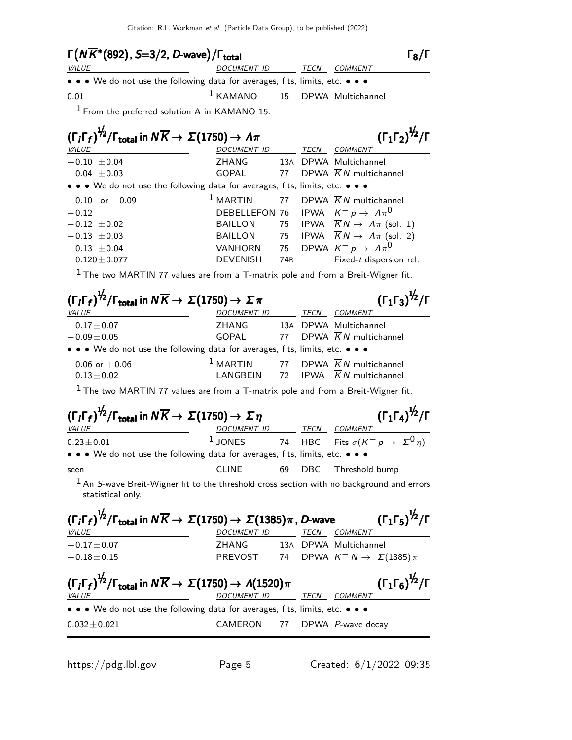| $\Gamma(N\overline{K}^*(892)$ , S $=$ 3/2, $D$ -wave $)/\Gamma_{\rm total}$                                                   |                                          |  |      |                |  |
|-------------------------------------------------------------------------------------------------------------------------------|------------------------------------------|--|------|----------------|--|
| VALUE                                                                                                                         | DOCUMENT ID                              |  | TECN | <i>COMMENT</i> |  |
| $\bullet$ $\bullet$ $\bullet$ We do not use the following data for averages, fits, limits, etc. $\bullet$ $\bullet$ $\bullet$ |                                          |  |      |                |  |
| 0.01                                                                                                                          | <sup>1</sup> KAMANO 15 DPWA Multichannel |  |      |                |  |
|                                                                                                                               |                                          |  |      |                |  |

1 From the preferred solution A in KAMANO 15.

| $(\Gamma_i \Gamma_f)^{\frac{1}{2}} / \Gamma_{\text{total}}$ in $N \overline{K} \rightarrow \Sigma (1750) \rightarrow \Lambda \pi$ |                                                      | $(\Gamma_1 \Gamma_2)^{\frac{1}{2}}$ /Г |      |                                                          |
|-----------------------------------------------------------------------------------------------------------------------------------|------------------------------------------------------|----------------------------------------|------|----------------------------------------------------------|
| VALUE                                                                                                                             | <b>DOCUMENT ID</b>                                   |                                        | TECN | COMMENT                                                  |
| $+0.10 \pm 0.04$                                                                                                                  | ZHANG                                                |                                        |      | 13A DPWA Multichannel                                    |
| $0.04 \pm 0.03$                                                                                                                   | GOPAL                                                |                                        |      | 77 DPWA $\overline{K}N$ multichannel                     |
| • • • We do not use the following data for averages, fits, limits, etc. • • •                                                     |                                                      |                                        |      |                                                          |
| $-0.10$ or $-0.09$                                                                                                                |                                                      |                                        |      | <sup>1</sup> MARTIN 77 DPWA $\overline{K}N$ multichannel |
| $-0.12$                                                                                                                           | DEBELLEFON 76 IPWA $K^- p \rightarrow \Lambda \pi^0$ |                                        |      |                                                          |
| $-0.12 \pm 0.02$                                                                                                                  | BAILLON                                              |                                        |      | 75 IPWA $\overline{K}N \rightarrow \Lambda \pi$ (sol. 1) |
| $-0.13 \pm 0.03$                                                                                                                  | BAILLON                                              |                                        |      | 75 IPWA $\overline{K}N \rightarrow \Lambda \pi$ (sol. 2) |
| $-0.13 \pm 0.04$                                                                                                                  | VANHORN                                              |                                        |      | 75 DPWA $K^- p \rightarrow A \pi^0$                      |
| $-0.120 \pm 0.077$                                                                                                                | <b>DEVENISH</b>                                      | 74B                                    |      | Fixed-t dispersion rel.                                  |

 $1$  The two MARTIN 77 values are from a T-matrix pole and from a Breit-Wigner fit.

| $(\Gamma_i \Gamma_f)^{1/2} / \Gamma_{total}$ in $N \overline{K} \rightarrow \Sigma (1750) \rightarrow \Sigma \pi$<br>VALUE                               | DOCUMENT ID                  |    |     | $(\Gamma_1 \Gamma_3)^{\frac{1}{2}} / \Gamma$<br>TECN COMMENT                                              |
|----------------------------------------------------------------------------------------------------------------------------------------------------------|------------------------------|----|-----|-----------------------------------------------------------------------------------------------------------|
| $+0.17 \pm 0.07$                                                                                                                                         | 7HANG                        |    |     | 13A DPWA Multichannel                                                                                     |
| $-0.09 \pm 0.05$                                                                                                                                         | GOPAL                        | 77 |     | DPWA $\overline{K}N$ multichannel                                                                         |
| • • • We do not use the following data for averages, fits, limits, etc. • • •                                                                            |                              |    |     |                                                                                                           |
| $+0.06$ or $+0.06$<br>$0.13 \pm 0.02$                                                                                                                    |                              |    |     | <sup>1</sup> MARTIN 77 DPWA $\overline{K}N$ multichannel<br>LANGBEIN 72 IPWA $\overline{K}N$ multichannel |
| $1$ The two MARTIN 77 values are from a T-matrix pole and from a Breit-Wigner fit.                                                                       |                              |    |     |                                                                                                           |
| $(\Gamma_i \Gamma_f)^{\frac{1}{2}}$ / $\Gamma_{\text{total}}$ in $N \overline{K} \rightarrow \Sigma (1750) \rightarrow \Sigma \eta$<br>VALUE             | DOCUMENT ID TECN COMMENT     |    |     | $(\Gamma_1 \Gamma_4)^{\frac{1}{2}} / \Gamma$                                                              |
| $0.23 \pm 0.01$                                                                                                                                          |                              |    |     | 1 JONES 74 HBC Fits $\sigma(K^{-} p \rightarrow \Sigma^{0} n)$                                            |
| • • • We do not use the following data for averages, fits, limits, etc. • • •                                                                            |                              |    |     |                                                                                                           |
| seen                                                                                                                                                     | <b>CLINE</b>                 | 69 | DBC | Threshold bump                                                                                            |
| $1$ An S-wave Breit-Wigner fit to the threshold cross section with no background and errors<br>statistical only.                                         |                              |    |     |                                                                                                           |
| $(\Gamma_i\Gamma_f)^{\frac{1}{2}}/\Gamma_{\rm total}$ in $N\overline{K}\to\Sigma(1750)\to\Sigma(1385)\pi$ , D-wave                                       |                              |    |     | $(\Gamma_1 \Gamma_5)^{\frac{1}{2}}$ / $\Gamma$                                                            |
| <b>VALUE</b>                                                                                                                                             | DOCUMENT ID                  |    |     | TECN COMMENT                                                                                              |
| $+0.17 \pm 0.07$                                                                                                                                         | ZHANG 13A DPWA Multichannel  |    |     |                                                                                                           |
| $+0.18 \pm 0.15$                                                                                                                                         |                              |    |     | PREVOST 74 DPWA $K^{-} N \rightarrow \Sigma(1385)\pi$                                                     |
| $(\Gamma_i \Gamma_f)^{\frac{1}{2}} / \Gamma_{\text{total}}$ in $N \overline{K} \rightarrow \Sigma (1750) \rightarrow \Lambda (1520) \pi$<br><b>VALUE</b> | DOCUMENT ID TECN COMMENT     |    |     | $(\Gamma_1 \Gamma_6)^{\frac{1}{2}}$ / $\Gamma$                                                            |
| • • • We do not use the following data for averages, fits, limits, etc. • • •                                                                            |                              |    |     |                                                                                                           |
|                                                                                                                                                          |                              |    |     |                                                                                                           |
| $0.032 \pm 0.021$                                                                                                                                        | CAMERON 77 DPWA P-wave decay |    |     |                                                                                                           |